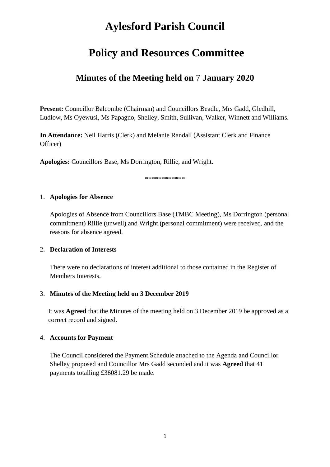# **Aylesford Parish Council**

# **Policy and Resources Committee**

# **Minutes of the Meeting held on** 7 **January 2020**

**Present:** Councillor Balcombe (Chairman) and Councillors Beadle, Mrs Gadd, Gledhill, Ludlow, Ms Oyewusi, Ms Papagno, Shelley, Smith, Sullivan, Walker, Winnett and Williams.

**In Attendance:** Neil Harris (Clerk) and Melanie Randall (Assistant Clerk and Finance Officer)

**Apologies:** Councillors Base, Ms Dorrington, Rillie, and Wright.

\*\*\*\*\*\*\*\*\*\*\*\*

#### 1. **Apologies for Absence**

Apologies of Absence from Councillors Base (TMBC Meeting), Ms Dorrington (personal commitment) Rillie (unwell) and Wright (personal commitment) were received, and the reasons for absence agreed.

#### 2. **Declaration of Interests**

There were no declarations of interest additional to those contained in the Register of Members Interests.

#### 3. **Minutes of the Meeting held on 3 December 2019**

It was **Agreed** that the Minutes of the meeting held on 3 December 2019 be approved as a correct record and signed.

## 4. **Accounts for Payment**

The Council considered the Payment Schedule attached to the Agenda and Councillor Shelley proposed and Councillor Mrs Gadd seconded and it was **Agreed** that 41 payments totalling £36081.29 be made.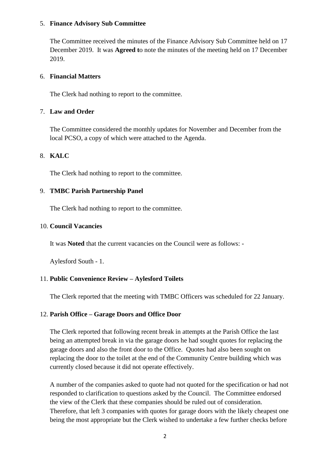#### 5. **Finance Advisory Sub Committee**

The Committee received the minutes of the Finance Advisory Sub Committee held on 17 December 2019. It was **Agreed t**o note the minutes of the meeting held on 17 December 2019.

#### 6. **Financial Matters**

The Clerk had nothing to report to the committee.

#### 7. **Law and Order**

The Committee considered the monthly updates for November and December from the local PCSO, a copy of which were attached to the Agenda.

# 8. **KALC**

The Clerk had nothing to report to the committee.

## 9. **TMBC Parish Partnership Panel**

The Clerk had nothing to report to the committee.

#### 10. **Council Vacancies**

It was **Noted** that the current vacancies on the Council were as follows: -

Aylesford South - 1.

## 11. **Public Convenience Review – Aylesford Toilets**

The Clerk reported that the meeting with TMBC Officers was scheduled for 22 January.

## 12. **Parish Office – Garage Doors and Office Door**

The Clerk reported that following recent break in attempts at the Parish Office the last being an attempted break in via the garage doors he had sought quotes for replacing the garage doors and also the front door to the Office. Quotes had also been sought on replacing the door to the toilet at the end of the Community Centre building which was currently closed because it did not operate effectively.

A number of the companies asked to quote had not quoted for the specification or had not responded to clarification to questions asked by the Council. The Committee endorsed the view of the Clerk that these companies should be ruled out of consideration. Therefore, that left 3 companies with quotes for garage doors with the likely cheapest one being the most appropriate but the Clerk wished to undertake a few further checks before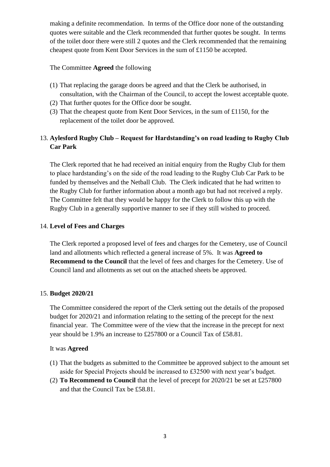making a definite recommendation. In terms of the Office door none of the outstanding quotes were suitable and the Clerk recommended that further quotes be sought. In terms of the toilet door there were still 2 quotes and the Clerk recommended that the remaining cheapest quote from Kent Door Services in the sum of £1150 be accepted.

# The Committee **Agreed** the following

- (1) That replacing the garage doors be agreed and that the Clerk be authorised, in consultation, with the Chairman of the Council, to accept the lowest acceptable quote.
- (2) That further quotes for the Office door be sought.
- (3) That the cheapest quote from Kent Door Services, in the sum of £1150, for the replacement of the toilet door be approved.

# 13. **Aylesford Rugby Club – Request for Hardstanding's on road leading to Rugby Club Car Park**

The Clerk reported that he had received an initial enquiry from the Rugby Club for them to place hardstanding's on the side of the road leading to the Rugby Club Car Park to be funded by themselves and the Netball Club. The Clerk indicated that he had written to the Rugby Club for further information about a month ago but had not received a reply. The Committee felt that they would be happy for the Clerk to follow this up with the Rugby Club in a generally supportive manner to see if they still wished to proceed.

# 14. **Level of Fees and Charges**

The Clerk reported a proposed level of fees and charges for the Cemetery, use of Council land and allotments which reflected a general increase of 5%. It was **Agreed to Recommend to the Council** that the level of fees and charges for the Cemetery. Use of Council land and allotments as set out on the attached sheets be approved.

## 15. **Budget 2020/21**

The Committee considered the report of the Clerk setting out the details of the proposed budget for 2020/21 and information relating to the setting of the precept for the next financial year. The Committee were of the view that the increase in the precept for next year should be 1.9% an increase to £257800 or a Council Tax of £58.81.

## It was **Agreed**

- (1) That the budgets as submitted to the Committee be approved subject to the amount set aside for Special Projects should be increased to £32500 with next year's budget.
- (2) **To Recommend to Council** that the level of precept for 2020/21 be set at £257800 and that the Council Tax be £58.81.